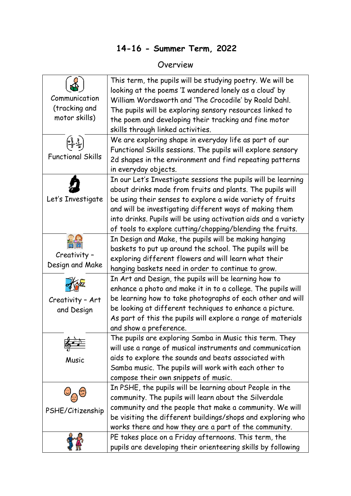## **14-16 - Summer Term, 2022**

## Overview

| Communication<br>(tracking and<br>motor skills) | This term, the pupils will be studying poetry. We will be<br>looking at the poems 'I wandered lonely as a cloud' by<br>William Wordsworth and 'The Crocodile' by Roald Dahl.<br>The pupils will be exploring sensory resources linked to<br>the poem and developing their tracking and fine motor<br>skills through linked activities.                                             |
|-------------------------------------------------|------------------------------------------------------------------------------------------------------------------------------------------------------------------------------------------------------------------------------------------------------------------------------------------------------------------------------------------------------------------------------------|
| <b>Functional Skills</b>                        | We are exploring shape in everyday life as part of our<br>Functional Skills sessions. The pupils will explore sensory<br>2d shapes in the environment and find repeating patterns<br>in everyday objects.                                                                                                                                                                          |
| Let's Investigate                               | In our Let's Investigate sessions the pupils will be learning<br>about drinks made from fruits and plants. The pupils will<br>be using their senses to explore a wide variety of fruits<br>and will be investigating different ways of making them<br>into drinks. Pupils will be using activation aids and a variety<br>of tools to explore cutting/chopping/blending the fruits. |
| Creativity -<br>Design and Make                 | In Design and Make, the pupils will be making hanging<br>baskets to put up around the school. The pupils will be<br>exploring different flowers and will learn what their<br>hanging baskets need in order to continue to grow.                                                                                                                                                    |
| Creativity - Art<br>and Design                  | In Art and Design, the pupils will be learning how to<br>enhance a photo and make it in to a college. The pupils will<br>be learning how to take photographs of each other and will<br>be looking at different techniques to enhance a picture.<br>As part of this the pupils will explore a range of materials<br>and show a preference.                                          |
| Music                                           | The pupils are exploring Samba in Music this term. They<br>will use a range of musical instruments and communication<br>aids to explore the sounds and beats associated with<br>Samba music. The pupils will work with each other to<br>compose their own snippets of music.                                                                                                       |
| PSHE/Citizenship                                | In PSHE, the pupils will be learning about People in the<br>community. The pupils will learn about the Silverdale<br>community and the people that make a community. We will<br>be visiting the different buildings/shops and exploring who<br>works there and how they are a part of the community.                                                                               |
|                                                 | PE takes place on a Friday afternoons. This term, the<br>pupils are developing their orienteering skills by following                                                                                                                                                                                                                                                              |